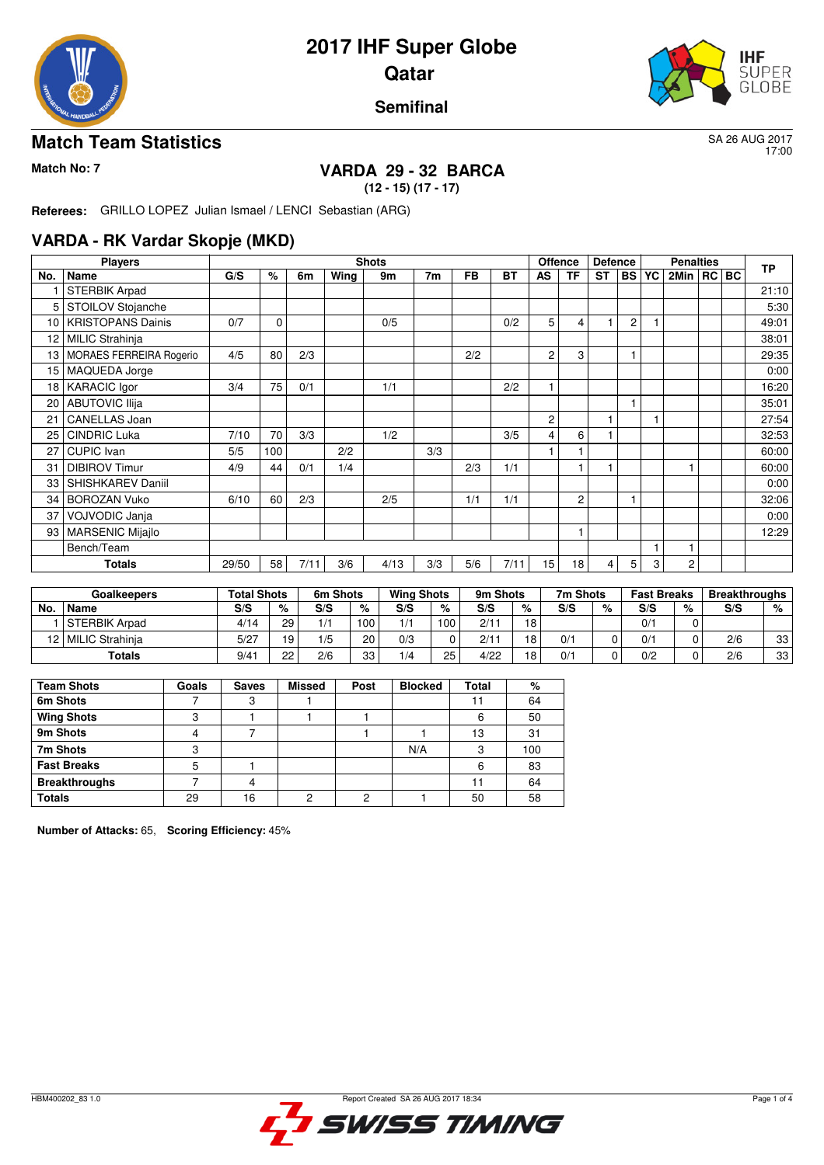



17:00

#### **Semifinal**

#### **Match Team Statistics** SA 26 AUG 2017

## **Match No: 7 VARDA 29 - 32 BARCA**

**(12 - 15) (17 - 17)**

**Referees:** GRILLO LOPEZ Julian Ismael / LENCI Sebastian (ARG)

#### **VARDA - RK Vardar Skopje (MKD)**

|     | <b>Players</b>                 |       |             |      |      | <b>Shots</b> |     |           |      | <b>Offence</b> |                | <b>Defence</b> |                |   | <b>Penalties</b> |  | <b>TP</b> |
|-----|--------------------------------|-------|-------------|------|------|--------------|-----|-----------|------|----------------|----------------|----------------|----------------|---|------------------|--|-----------|
| No. | <b>Name</b>                    | G/S   | $\%$        | 6m   | Wing | 9m           | 7m  | <b>FB</b> | ВT   | AS             | <b>TF</b>      | <b>ST</b>      | <b>BS YC</b>   |   | 2Min   RC   BC   |  |           |
|     | <b>STERBIK Arpad</b>           |       |             |      |      |              |     |           |      |                |                |                |                |   |                  |  | 21:10     |
| 5   | STOILOV Stojanche              |       |             |      |      |              |     |           |      |                |                |                |                |   |                  |  | 5:30      |
| 10  | <b>KRISTOPANS Dainis</b>       | 0/7   | $\mathbf 0$ |      |      | 0/5          |     |           | 0/2  | 5              | 4              |                | $\overline{c}$ |   |                  |  | 49:01     |
| 12  | MILIC Strahinja                |       |             |      |      |              |     |           |      |                |                |                |                |   |                  |  | 38:01     |
| 13  | <b>MORAES FERREIRA Rogerio</b> | 4/5   | 80          | 2/3  |      |              |     | 2/2       |      | 2              | 3              |                |                |   |                  |  | 29:35     |
| 15  | MAQUEDA Jorge                  |       |             |      |      |              |     |           |      |                |                |                |                |   |                  |  | 0:00      |
|     | 18   KARACIC Igor              | 3/4   | 75          | 0/1  |      | 1/1          |     |           | 2/2  | $\overline{1}$ |                |                |                |   |                  |  | 16:20     |
| 20  | <b>ABUTOVIC Ilija</b>          |       |             |      |      |              |     |           |      |                |                |                |                |   |                  |  | 35:01     |
| 21  | <b>CANELLAS Joan</b>           |       |             |      |      |              |     |           |      | $\overline{c}$ |                |                |                |   |                  |  | 27:54     |
| 25  | <b>CINDRIC Luka</b>            | 7/10  | 70          | 3/3  |      | 1/2          |     |           | 3/5  | 4              | 6              |                |                |   |                  |  | 32:53     |
| 27  | <b>CUPIC</b> Ivan              | 5/5   | 100         |      | 2/2  |              | 3/3 |           |      |                |                |                |                |   |                  |  | 60:00     |
| 31  | <b>DIBIROV Timur</b>           | 4/9   | 44          | 0/1  | 1/4  |              |     | 2/3       | 1/1  |                |                |                |                |   |                  |  | 60:00     |
| 33  | SHISHKAREV Daniil              |       |             |      |      |              |     |           |      |                |                |                |                |   |                  |  | 0:00      |
| 34  | <b>BOROZAN Vuko</b>            | 6/10  | 60          | 2/3  |      | 2/5          |     | 1/1       | 1/1  |                | $\overline{c}$ |                |                |   |                  |  | 32:06     |
| 37  | VOJVODIC Janja                 |       |             |      |      |              |     |           |      |                |                |                |                |   |                  |  | 0:00      |
| 93  | <b>MARSENIC Mijajlo</b>        |       |             |      |      |              |     |           |      |                |                |                |                |   |                  |  | 12:29     |
|     | Bench/Team                     |       |             |      |      |              |     |           |      |                |                |                |                |   |                  |  |           |
|     | <b>Totals</b>                  | 29/50 | 58          | 7/11 | 3/6  | 4/13         | 3/3 | 5/6       | 7/11 | 15             | 18             | 4              | 5              | 3 | 2                |  |           |

| <b>Goalkeepers</b> |                      | <b>Total Shots</b> |    | 6m Shots |     | <b>Wing Shots</b> |     | 9m Shots |                 | 7m Shots |   | <b>Fast Breaks</b> |   | <b>Breakthroughs</b> |    |
|--------------------|----------------------|--------------------|----|----------|-----|-------------------|-----|----------|-----------------|----------|---|--------------------|---|----------------------|----|
| No.                | Name                 | S/S                | %  | S/S      | %   | S/S               | %   | S/S      | %               | S/S      | % | S/S                | % | S/S                  | %  |
|                    | <b>STERBIK Arpad</b> | 4/14               | 29 | 1/1      | 100 | 1/1               | 100 | 2/11     | 18              |          |   | 0/1                |   |                      |    |
| 121                | MILIC Strahinja      | 5/27               | 19 | 1/5      | 20  | 0/3               |     | 2/11     | 18              | 0/1      |   | 0/1                |   | 2/6                  | 33 |
|                    | Totals               | 9/41               | 22 | 2/6      | 33  | 1/4               | 25  | 4/22     | 18 <sub>1</sub> | 0/1      |   | 0/2                |   | 2/6                  | 33 |

| <b>Team Shots</b>    | Goals | <b>Saves</b> | <b>Missed</b> | Post | <b>Blocked</b> | Total | %   |
|----------------------|-------|--------------|---------------|------|----------------|-------|-----|
| 6m Shots             |       |              |               |      |                |       | 64  |
| <b>Wing Shots</b>    | c     |              |               |      |                | 6     | 50  |
| 9m Shots             |       |              |               |      |                | 13    | 31  |
| 7m Shots             | ◠     |              |               |      | N/A            | 3     | 100 |
| <b>Fast Breaks</b>   |       |              |               |      |                | 6     | 83  |
| <b>Breakthroughs</b> |       |              |               |      |                |       | 64  |
| <b>Totals</b>        | 29    | <b>6</b>     | ŋ             | ∩    |                | 50    | 58  |

**Number of Attacks:** 65, **Scoring Efficiency:** 45%

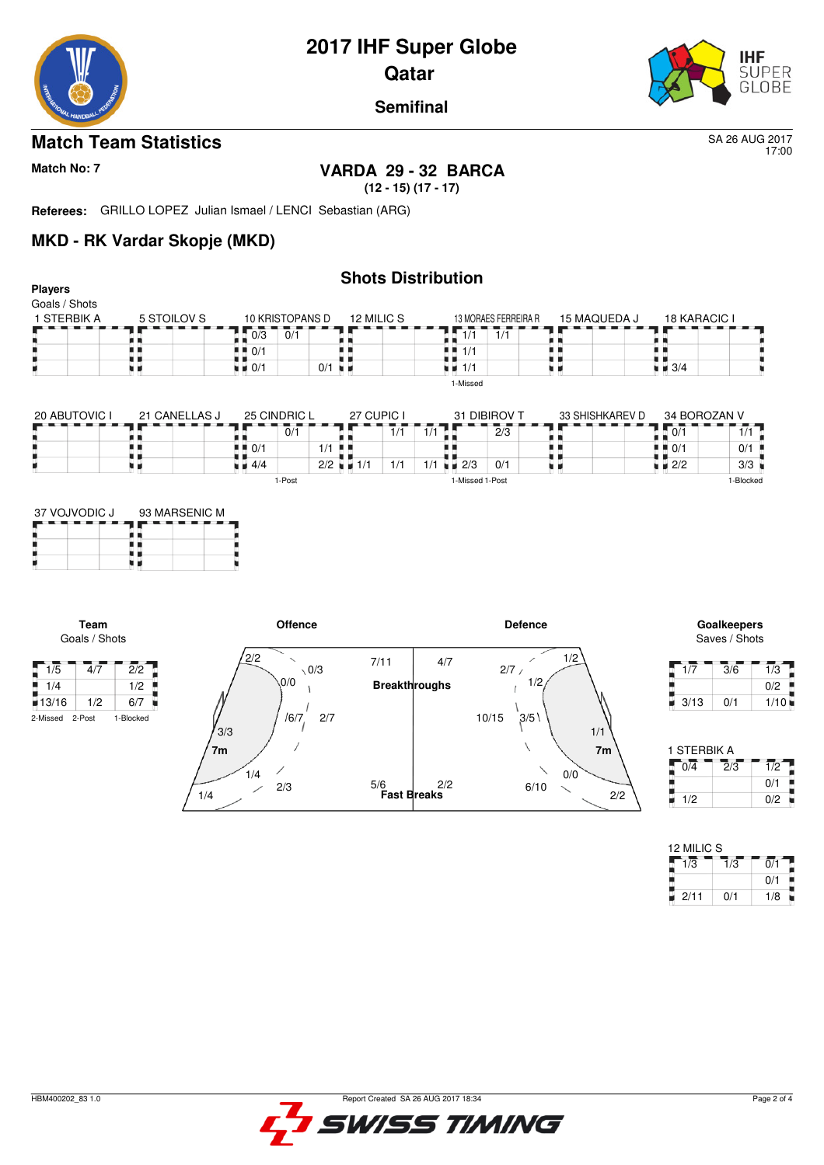



17:00

**Semifinal**

#### **Match Team Statistics** SA 26 AUG 2017

**Players**

### **Match No: 7 VARDA 29 - 32 BARCA**

**(12 - 15) (17 - 17)**

**Referees:** GRILLO LOPEZ Julian Ismael / LENCI Sebastian (ARG)

#### **MKD - RK Vardar Skopje (MKD)**

#### **Shots Distribution**

| Goals / Shots |             |                    |                      |                      |              |                    |
|---------------|-------------|--------------------|----------------------|----------------------|--------------|--------------------|
| 1 STERBIK A   | 5 STOILOV S | 10 KRISTOPANS D    | 12 MILIC S           | 13 MORAES FERREIRA R | 15 MAQUEDA J | 18 KARACIC I       |
|               |             | 0/1<br>0/3         |                      | 1/1<br>1/1           |              |                    |
|               |             | $\blacksquare$ 0/1 |                      | 4 H 1/1              |              |                    |
|               |             | $\blacksquare$ 0/1 | $0/1$ $\blacksquare$ | ∎∎ 1/1               |              | $\blacksquare$ 3/4 |
|               |             |                    |                      | 1-Missed             |              |                    |

| 20 ABUTOVIC I | 21 CANELLAS J | 25 CINDRIC L   |        |                      |      | 27 CUPIC I  |                    | 31 DIBIROV T | 33 SHISHKAREV D |                                   | 34 BOROZAN V   |
|---------------|---------------|----------------|--------|----------------------|------|-------------|--------------------|--------------|-----------------|-----------------------------------|----------------|
|               |               |                | 0/1    |                      |      | $^{\prime}$ |                    | 2/3          |                 | 0/1                               | $\overline{1}$ |
|               |               | ! ‼ 0/1        |        | $1/1$ .              |      |             |                    |              |                 | $\blacksquare$ $\blacksquare$ 0/1 | 0/1            |
|               |               | $1 \times 4/4$ |        | $2/2$ $\blacksquare$ | .1/1 | 1/1         | $\blacksquare$ 2/3 | 0/1          |                 | $\blacksquare$ 2/2                | 3/3            |
|               |               |                | 1-Post |                      |      |             | 1-Missed 1-Post    |              |                 |                                   | -Blocked       |

| 37 VOJVODIC J | 93 MARSENIC M |
|---------------|---------------|
|               |               |
|               |               |

**Team** Goals / Shots

F



Saves / Shots

| 1/7  | 3/6 | 1/3  |
|------|-----|------|
|      |     | 0/2  |
| 3/13 | 0/1 | 1/10 |

| 1 STERBIK A |     |     |
|-------------|-----|-----|
| 0/4         | 2/3 | 1/2 |
|             |     | 0/1 |
| 1/2         |     | 0/2 |

| 12 MILIC S |     |     |
|------------|-----|-----|
| 1/3        | 1/3 | 0/1 |
|            |     | 0/1 |
| 2/11       | 0/1 | 1/8 |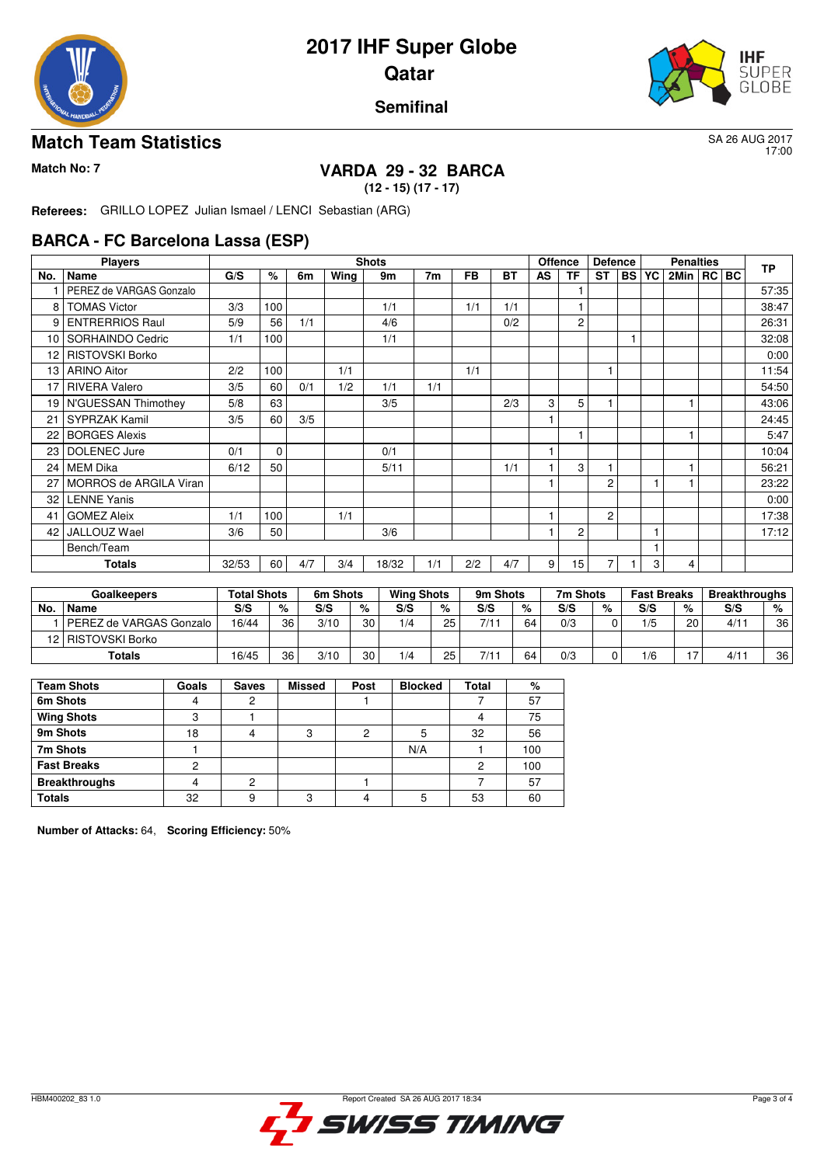



17:00

#### **Semifinal**

#### **Match Team Statistics** SA 26 AUG 2017

## **Match No: 7 VARDA 29 - 32 BARCA**

**(12 - 15) (17 - 17)**

**Referees:** GRILLO LOPEZ Julian Ismael / LENCI Sebastian (ARG)

#### **BARCA - FC Barcelona Lassa (ESP)**

|     | <b>Players</b>          |       |             |     |      | <b>Shots</b> |     |           |           |    | <b>Offence</b> | <b>Defence</b> |              |   | <b>Penalties</b> |  | <b>TP</b> |
|-----|-------------------------|-------|-------------|-----|------|--------------|-----|-----------|-----------|----|----------------|----------------|--------------|---|------------------|--|-----------|
| No. | Name                    | G/S   | $\%$        | 6m  | Wing | 9m           | 7m  | <b>FB</b> | <b>BT</b> | AS | <b>TF</b>      | <b>ST</b>      | <b>BS YC</b> |   | 2Min   RC   BC   |  |           |
|     | PEREZ de VARGAS Gonzalo |       |             |     |      |              |     |           |           |    |                |                |              |   |                  |  | 57:35     |
| 8   | <b>TOMAS Victor</b>     | 3/3   | 100         |     |      | 1/1          |     | 1/1       | 1/1       |    |                |                |              |   |                  |  | 38:47     |
| 9   | <b>ENTRERRIOS Raul</b>  | 5/9   | 56          | 1/1 |      | 4/6          |     |           | 0/2       |    | 2              |                |              |   |                  |  | 26:31     |
| 10  | SORHAINDO Cedric        | 1/1   | 100         |     |      | 1/1          |     |           |           |    |                |                |              |   |                  |  | 32:08     |
| 12  | <b>RISTOVSKI Borko</b>  |       |             |     |      |              |     |           |           |    |                |                |              |   |                  |  | 0:00      |
| 13  | <b>ARINO Aitor</b>      | 2/2   | 100         |     | 1/1  |              |     | 1/1       |           |    |                |                |              |   |                  |  | 11:54     |
| 17  | <b>RIVERA Valero</b>    | 3/5   | 60          | 0/1 | 1/2  | 1/1          | 1/1 |           |           |    |                |                |              |   |                  |  | 54:50     |
|     | 19 N'GUESSAN Thimothey  | 5/8   | 63          |     |      | 3/5          |     |           | 2/3       | 3  | 5              |                |              |   |                  |  | 43:06     |
| 21  | <b>SYPRZAK Kamil</b>    | 3/5   | 60          | 3/5 |      |              |     |           |           |    |                |                |              |   |                  |  | 24:45     |
| 22  | <b>BORGES Alexis</b>    |       |             |     |      |              |     |           |           |    | 1              |                |              |   |                  |  | 5:47      |
| 23  | DOLENEC Jure            | 0/1   | $\mathbf 0$ |     |      | 0/1          |     |           |           |    |                |                |              |   |                  |  | 10:04     |
| 24  | <b>MEM Dika</b>         | 6/12  | 50          |     |      | 5/11         |     |           | 1/1       |    | 3              |                |              |   |                  |  | 56:21     |
| 27  | MORROS de ARGILA Viran  |       |             |     |      |              |     |           |           |    |                | $\overline{c}$ |              |   |                  |  | 23:22     |
| 32  | <b>LENNE Yanis</b>      |       |             |     |      |              |     |           |           |    |                |                |              |   |                  |  | 0:00      |
| 41  | <b>GOMEZ Aleix</b>      | 1/1   | 100         |     | 1/1  |              |     |           |           |    |                | $\overline{c}$ |              |   |                  |  | 17:38     |
| 42  | JALLOUZ Wael            | 3/6   | 50          |     |      | 3/6          |     |           |           |    | 2              |                |              |   |                  |  | 17:12     |
|     | Bench/Team              |       |             |     |      |              |     |           |           |    |                |                |              |   |                  |  |           |
|     | Totals                  | 32/53 | 60          | 4/7 | 3/4  | 18/32        | 1/1 | 2/2       | 4/7       | 9  | 15             |                |              | 3 | 4                |  |           |

| <b>Goalkeepers</b> |                           | <b>Total Shots</b> |    | 6m Shots |    | <b>Wing Shots</b> |    | 9m Shots |    | 7m Shots |   | <b>Fast Breaks</b> |    | <b>Breakthroughs</b> |    |
|--------------------|---------------------------|--------------------|----|----------|----|-------------------|----|----------|----|----------|---|--------------------|----|----------------------|----|
| No.                | <b>Name</b>               | S/S                | %  | S/S      | %  | S/S               | %  | S/S      | %  | S/S      | % | S/S                | %  | S/S                  | %  |
|                    | l PEREZ de VARGAS Gonzalo | 16/44              | 36 | 3/10     | 30 | 1/4               | 25 | 7/11     | 64 | 0/3      |   | 1/5                | 20 | 4/11                 | 36 |
|                    | 12   RISTOVSKI Borko      |                    |    |          |    |                   |    |          |    |          |   |                    |    |                      |    |
|                    | Totals                    | 16/45              | 36 | 3/10     | 30 | 1/4               | 25 |          | 64 | 0/3      |   | 1/6                |    | 4/11                 | 36 |

| <b>Team Shots</b>    | Goals | <b>Saves</b> | <b>Missed</b> | Post | <b>Blocked</b> | Total | %   |
|----------------------|-------|--------------|---------------|------|----------------|-------|-----|
| 6m Shots             |       |              |               |      |                |       | 57  |
| <b>Wing Shots</b>    | ◠     |              |               |      |                | 4     | 75  |
| 9m Shots             | 18    |              | 3             | っ    | 5              | 32    | 56  |
| 7m Shots             |       |              |               |      | N/A            |       | 100 |
| <b>Fast Breaks</b>   |       |              |               |      |                | 2     | 100 |
| <b>Breakthroughs</b> |       |              |               |      |                |       | 57  |
| <b>Totals</b>        | 32    | 9            | ◠             |      | 5              | 53    | 60  |

**Number of Attacks:** 64, **Scoring Efficiency:** 50%